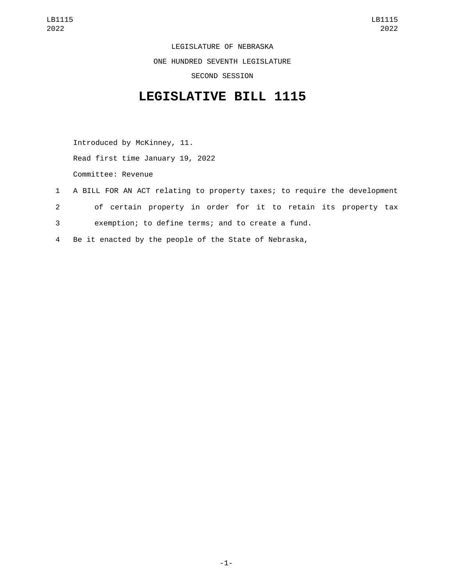LEGISLATURE OF NEBRASKA ONE HUNDRED SEVENTH LEGISLATURE SECOND SESSION

## **LEGISLATIVE BILL 1115**

Introduced by McKinney, 11. Read first time January 19, 2022 Committee: Revenue

- 1 A BILL FOR AN ACT relating to property taxes; to require the development 2 of certain property in order for it to retain its property tax
- 3 exemption; to define terms; and to create a fund.
- 4 Be it enacted by the people of the State of Nebraska,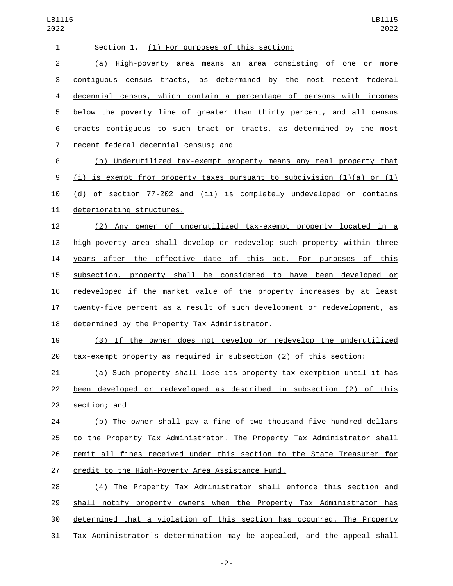| $\mathbf{1}$   | Section 1. (1) For purposes of this section:                                  |
|----------------|-------------------------------------------------------------------------------|
| $\overline{2}$ | (a) High-poverty area means an area consisting of one or<br>more              |
| 3              | contiguous census tracts, as determined by the most recent federal            |
| 4              | decennial census, which contain a percentage of persons with incomes          |
| 5              | below the poverty line of greater than thirty percent, and all census         |
| 6              | tracts contiguous to such tract or tracts, as determined by the most          |
| 7              | recent federal decennial census; and                                          |
| 8              | (b) Underutilized tax-exempt property means any real property that            |
| 9              | $(i)$ is exempt from property taxes pursuant to subdivision $(1)(a)$ or $(1)$ |
| 10             | (d) of section 77-202 and (ii) is completely undeveloped or contains          |
| 11             | deteriorating structures.                                                     |
| 12             | (2) Any owner of underutilized tax-exempt property located in a               |
| 13             | high-poverty area shall develop or redevelop such property within three       |
| 14             | years after the effective date of this act. For purposes of this              |
| 15             | subsection, property shall be considered to have been developed or            |
| 16             | redeveloped if the market value of the property increases by at least         |
| 17             | twenty-five percent as a result of such development or redevelopment, as      |
| 18             | determined by the Property Tax Administrator.                                 |
| 19             | (3) If the owner does not develop or redevelop the underutilized              |
| 20             | tax-exempt property as required in subsection (2) of this section:            |
| 21             | <u>(a) Such property shall lose its property tax exemption until it has </u>  |
| 22             | been developed or redeveloped as described in subsection (2) of this          |
| 23             | section; and                                                                  |
| 24             | (b) The owner shall pay a fine of two thousand five hundred dollars           |
| 25             | to the Property Tax Administrator. The Property Tax Administrator shall       |
| 26             | remit all fines received under this section to the State Treasurer for        |
| 27             | credit to the High-Poverty Area Assistance Fund.                              |
| 28             | (4) The Property Tax Administrator shall enforce this section and             |
| 29             | shall notify property owners when the Property Tax Administrator has          |
| 30             | determined that a violation of this section has occurred. The Property        |
| 31             | Tax Administrator's determination may be appealed, and the appeal shall       |